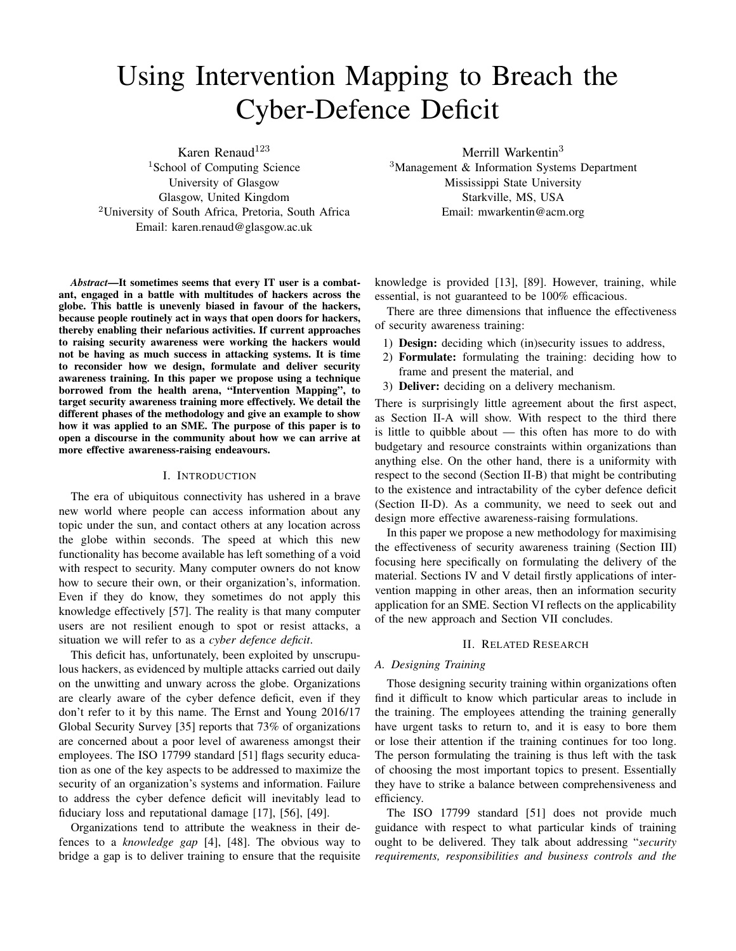# Using Intervention Mapping to Breach the Cyber-Defence Deficit

Karen Renaud $123$ <sup>1</sup>School of Computing Science University of Glasgow Glasgow, United Kingdom <sup>2</sup>University of South Africa, Pretoria, South Africa Email: karen.renaud@glasgow.ac.uk

*Abstract*—It sometimes seems that every IT user is a combatant, engaged in a battle with multitudes of hackers across the globe. This battle is unevenly biased in favour of the hackers, because people routinely act in ways that open doors for hackers, thereby enabling their nefarious activities. If current approaches to raising security awareness were working the hackers would not be having as much success in attacking systems. It is time to reconsider how we design, formulate and deliver security awareness training. In this paper we propose using a technique borrowed from the health arena, "Intervention Mapping", to target security awareness training more effectively. We detail the different phases of the methodology and give an example to show how it was applied to an SME. The purpose of this paper is to open a discourse in the community about how we can arrive at more effective awareness-raising endeavours.

# I. INTRODUCTION

The era of ubiquitous connectivity has ushered in a brave new world where people can access information about any topic under the sun, and contact others at any location across the globe within seconds. The speed at which this new functionality has become available has left something of a void with respect to security. Many computer owners do not know how to secure their own, or their organization's, information. Even if they do know, they sometimes do not apply this knowledge effectively [57]. The reality is that many computer users are not resilient enough to spot or resist attacks, a situation we will refer to as a *cyber defence deficit*.

This deficit has, unfortunately, been exploited by unscrupulous hackers, as evidenced by multiple attacks carried out daily on the unwitting and unwary across the globe. Organizations are clearly aware of the cyber defence deficit, even if they don't refer to it by this name. The Ernst and Young 2016/17 Global Security Survey [35] reports that 73% of organizations are concerned about a poor level of awareness amongst their employees. The ISO 17799 standard [51] flags security education as one of the key aspects to be addressed to maximize the security of an organization's systems and information. Failure to address the cyber defence deficit will inevitably lead to fiduciary loss and reputational damage [17], [56], [49].

Organizations tend to attribute the weakness in their defences to a *knowledge gap* [4], [48]. The obvious way to bridge a gap is to deliver training to ensure that the requisite

Merrill Warkentin<sup>3</sup> <sup>3</sup>Management & Information Systems Department Mississippi State University Starkville, MS, USA Email: mwarkentin@acm.org

knowledge is provided [13], [89]. However, training, while essential, is not guaranteed to be 100% efficacious.

There are three dimensions that influence the effectiveness of security awareness training:

- 1) Design: deciding which (in)security issues to address,
- 2) Formulate: formulating the training: deciding how to frame and present the material, and
- 3) Deliver: deciding on a delivery mechanism.

There is surprisingly little agreement about the first aspect, as Section II-A will show. With respect to the third there is little to quibble about — this often has more to do with budgetary and resource constraints within organizations than anything else. On the other hand, there is a uniformity with respect to the second (Section II-B) that might be contributing to the existence and intractability of the cyber defence deficit (Section II-D). As a community, we need to seek out and design more effective awareness-raising formulations.

In this paper we propose a new methodology for maximising the effectiveness of security awareness training (Section III) focusing here specifically on formulating the delivery of the material. Sections IV and V detail firstly applications of intervention mapping in other areas, then an information security application for an SME. Section VI reflects on the applicability of the new approach and Section VII concludes.

#### II. RELATED RESEARCH

#### *A. Designing Training*

Those designing security training within organizations often find it difficult to know which particular areas to include in the training. The employees attending the training generally have urgent tasks to return to, and it is easy to bore them or lose their attention if the training continues for too long. The person formulating the training is thus left with the task of choosing the most important topics to present. Essentially they have to strike a balance between comprehensiveness and efficiency.

The ISO 17799 standard [51] does not provide much guidance with respect to what particular kinds of training ought to be delivered. They talk about addressing "*security requirements, responsibilities and business controls and the*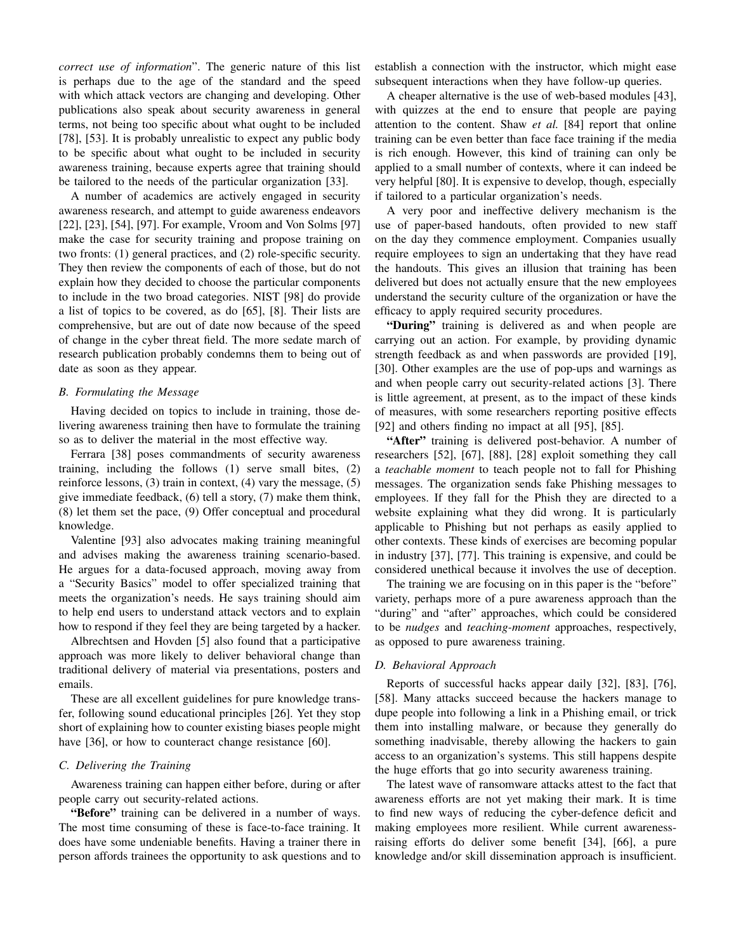*correct use of information*". The generic nature of this list is perhaps due to the age of the standard and the speed with which attack vectors are changing and developing. Other publications also speak about security awareness in general terms, not being too specific about what ought to be included [78], [53]. It is probably unrealistic to expect any public body to be specific about what ought to be included in security awareness training, because experts agree that training should be tailored to the needs of the particular organization [33].

A number of academics are actively engaged in security awareness research, and attempt to guide awareness endeavors [22], [23], [54], [97]. For example, Vroom and Von Solms [97] make the case for security training and propose training on two fronts: (1) general practices, and (2) role-specific security. They then review the components of each of those, but do not explain how they decided to choose the particular components to include in the two broad categories. NIST [98] do provide a list of topics to be covered, as do [65], [8]. Their lists are comprehensive, but are out of date now because of the speed of change in the cyber threat field. The more sedate march of research publication probably condemns them to being out of date as soon as they appear.

#### *B. Formulating the Message*

Having decided on topics to include in training, those delivering awareness training then have to formulate the training so as to deliver the material in the most effective way.

Ferrara [38] poses commandments of security awareness training, including the follows (1) serve small bites, (2) reinforce lessons, (3) train in context, (4) vary the message, (5) give immediate feedback, (6) tell a story, (7) make them think, (8) let them set the pace, (9) Offer conceptual and procedural knowledge.

Valentine [93] also advocates making training meaningful and advises making the awareness training scenario-based. He argues for a data-focused approach, moving away from a "Security Basics" model to offer specialized training that meets the organization's needs. He says training should aim to help end users to understand attack vectors and to explain how to respond if they feel they are being targeted by a hacker.

Albrechtsen and Hovden [5] also found that a participative approach was more likely to deliver behavioral change than traditional delivery of material via presentations, posters and emails.

These are all excellent guidelines for pure knowledge transfer, following sound educational principles [26]. Yet they stop short of explaining how to counter existing biases people might have [36], or how to counteract change resistance [60].

## *C. Delivering the Training*

Awareness training can happen either before, during or after people carry out security-related actions.

"Before" training can be delivered in a number of ways. The most time consuming of these is face-to-face training. It does have some undeniable benefits. Having a trainer there in person affords trainees the opportunity to ask questions and to establish a connection with the instructor, which might ease subsequent interactions when they have follow-up queries.

A cheaper alternative is the use of web-based modules [43], with quizzes at the end to ensure that people are paying attention to the content. Shaw *et al.* [84] report that online training can be even better than face face training if the media is rich enough. However, this kind of training can only be applied to a small number of contexts, where it can indeed be very helpful [80]. It is expensive to develop, though, especially if tailored to a particular organization's needs.

A very poor and ineffective delivery mechanism is the use of paper-based handouts, often provided to new staff on the day they commence employment. Companies usually require employees to sign an undertaking that they have read the handouts. This gives an illusion that training has been delivered but does not actually ensure that the new employees understand the security culture of the organization or have the efficacy to apply required security procedures.

"During" training is delivered as and when people are carrying out an action. For example, by providing dynamic strength feedback as and when passwords are provided [19], [30]. Other examples are the use of pop-ups and warnings as and when people carry out security-related actions [3]. There is little agreement, at present, as to the impact of these kinds of measures, with some researchers reporting positive effects [92] and others finding no impact at all [95], [85].

"After" training is delivered post-behavior. A number of researchers [52], [67], [88], [28] exploit something they call a *teachable moment* to teach people not to fall for Phishing messages. The organization sends fake Phishing messages to employees. If they fall for the Phish they are directed to a website explaining what they did wrong. It is particularly applicable to Phishing but not perhaps as easily applied to other contexts. These kinds of exercises are becoming popular in industry [37], [77]. This training is expensive, and could be considered unethical because it involves the use of deception.

The training we are focusing on in this paper is the "before" variety, perhaps more of a pure awareness approach than the "during" and "after" approaches, which could be considered to be *nudges* and *teaching-moment* approaches, respectively, as opposed to pure awareness training.

## *D. Behavioral Approach*

Reports of successful hacks appear daily [32], [83], [76], [58]. Many attacks succeed because the hackers manage to dupe people into following a link in a Phishing email, or trick them into installing malware, or because they generally do something inadvisable, thereby allowing the hackers to gain access to an organization's systems. This still happens despite the huge efforts that go into security awareness training.

The latest wave of ransomware attacks attest to the fact that awareness efforts are not yet making their mark. It is time to find new ways of reducing the cyber-defence deficit and making employees more resilient. While current awarenessraising efforts do deliver some benefit [34], [66], a pure knowledge and/or skill dissemination approach is insufficient.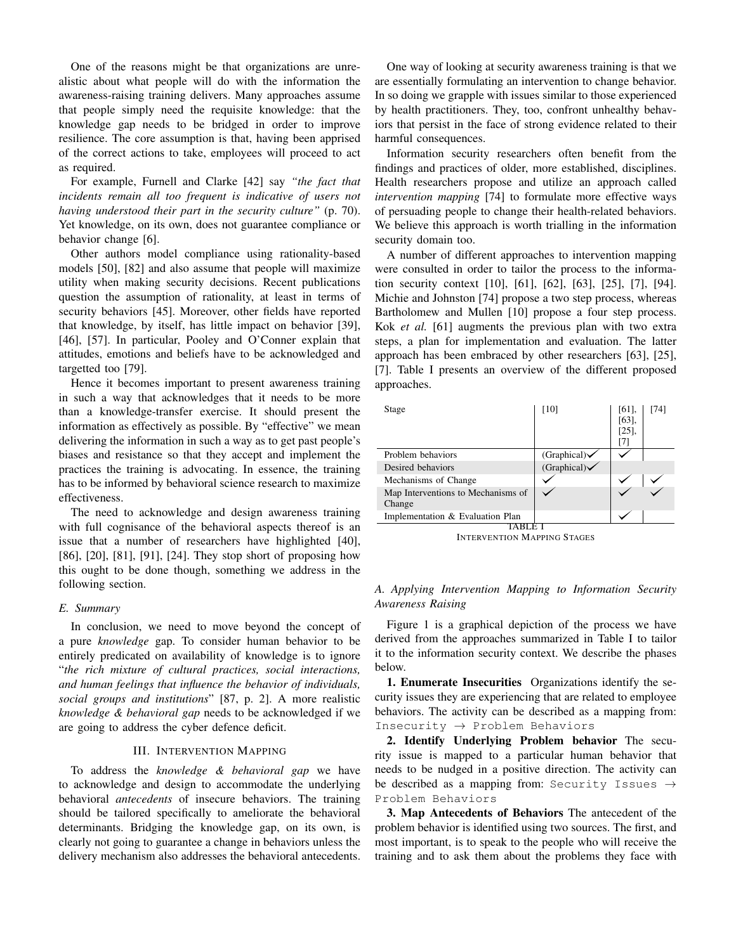One of the reasons might be that organizations are unrealistic about what people will do with the information the awareness-raising training delivers. Many approaches assume that people simply need the requisite knowledge: that the knowledge gap needs to be bridged in order to improve resilience. The core assumption is that, having been apprised of the correct actions to take, employees will proceed to act as required.

For example, Furnell and Clarke [42] say *"the fact that incidents remain all too frequent is indicative of users not having understood their part in the security culture"* (p. 70). Yet knowledge, on its own, does not guarantee compliance or behavior change [6].

Other authors model compliance using rationality-based models [50], [82] and also assume that people will maximize utility when making security decisions. Recent publications question the assumption of rationality, at least in terms of security behaviors [45]. Moreover, other fields have reported that knowledge, by itself, has little impact on behavior [39], [46], [57]. In particular, Pooley and O'Conner explain that attitudes, emotions and beliefs have to be acknowledged and targetted too [79].

Hence it becomes important to present awareness training in such a way that acknowledges that it needs to be more than a knowledge-transfer exercise. It should present the information as effectively as possible. By "effective" we mean delivering the information in such a way as to get past people's biases and resistance so that they accept and implement the practices the training is advocating. In essence, the training has to be informed by behavioral science research to maximize effectiveness.

The need to acknowledge and design awareness training with full cognisance of the behavioral aspects thereof is an issue that a number of researchers have highlighted [40], [86], [20], [81], [91], [24]. They stop short of proposing how this ought to be done though, something we address in the following section.

#### *E. Summary*

In conclusion, we need to move beyond the concept of a pure *knowledge* gap. To consider human behavior to be entirely predicated on availability of knowledge is to ignore "*the rich mixture of cultural practices, social interactions, and human feelings that influence the behavior of individuals, social groups and institutions*" [87, p. 2]. A more realistic *knowledge & behavioral gap* needs to be acknowledged if we are going to address the cyber defence deficit.

### III. INTERVENTION MAPPING

To address the *knowledge & behavioral gap* we have to acknowledge and design to accommodate the underlying behavioral *antecedents* of insecure behaviors. The training should be tailored specifically to ameliorate the behavioral determinants. Bridging the knowledge gap, on its own, is clearly not going to guarantee a change in behaviors unless the delivery mechanism also addresses the behavioral antecedents.

One way of looking at security awareness training is that we are essentially formulating an intervention to change behavior. In so doing we grapple with issues similar to those experienced by health practitioners. They, too, confront unhealthy behaviors that persist in the face of strong evidence related to their harmful consequences.

Information security researchers often benefit from the findings and practices of older, more established, disciplines. Health researchers propose and utilize an approach called *intervention mapping* [74] to formulate more effective ways of persuading people to change their health-related behaviors. We believe this approach is worth trialling in the information security domain too.

A number of different approaches to intervention mapping were consulted in order to tailor the process to the information security context [10], [61], [62], [63], [25], [7], [94]. Michie and Johnston [74] propose a two step process, whereas Bartholomew and Mullen [10] propose a four step process. Kok *et al.* [61] augments the previous plan with two extra steps, a plan for implementation and evaluation. The latter approach has been embraced by other researchers [63], [25], [7]. Table I presents an overview of the different proposed approaches.

| Stage                                        | [10]                                         | [61]<br>$[63]$ ,<br>$[25]$ ,<br>[7] | [74] |
|----------------------------------------------|----------------------------------------------|-------------------------------------|------|
| Problem behaviors                            |                                              |                                     |      |
|                                              |                                              |                                     |      |
| Desired behaviors                            | $(Graphical) \times$<br>$(Graphical) \times$ |                                     |      |
| Mechanisms of Change                         |                                              |                                     |      |
| Map Interventions to Mechanisms of<br>Change |                                              |                                     |      |
| Implementation & Evaluation Plan             |                                              |                                     |      |
|                                              |                                              |                                     |      |

INTERVENTION MAPPING STAGES

# *A. Applying Intervention Mapping to Information Security Awareness Raising*

Figure 1 is a graphical depiction of the process we have derived from the approaches summarized in Table I to tailor it to the information security context. We describe the phases below.

1. Enumerate Insecurities Organizations identify the security issues they are experiencing that are related to employee behaviors. The activity can be described as a mapping from: Insecurity → Problem Behaviors

2. Identify Underlying Problem behavior The security issue is mapped to a particular human behavior that needs to be nudged in a positive direction. The activity can be described as a mapping from: Security Issues  $\rightarrow$ Problem Behaviors

3. Map Antecedents of Behaviors The antecedent of the problem behavior is identified using two sources. The first, and most important, is to speak to the people who will receive the training and to ask them about the problems they face with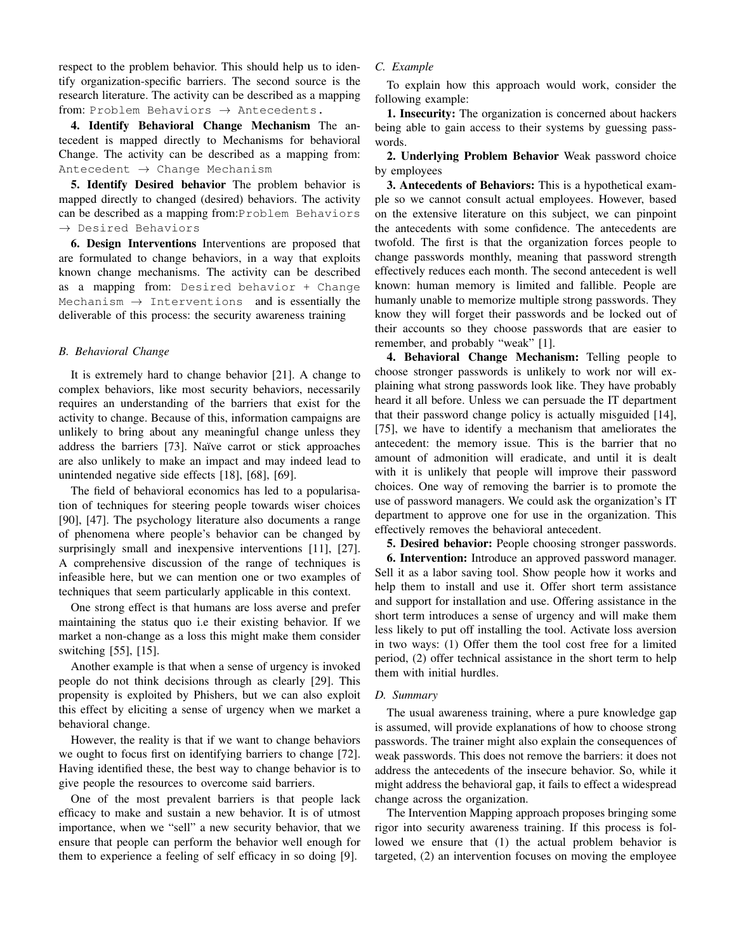respect to the problem behavior. This should help us to identify organization-specific barriers. The second source is the research literature. The activity can be described as a mapping from: Problem Behaviors  $\rightarrow$  Antecedents.

4. Identify Behavioral Change Mechanism The antecedent is mapped directly to Mechanisms for behavioral Change. The activity can be described as a mapping from:  $Antecedent$   $\rightarrow$  Change Mechanism

5. Identify Desired behavior The problem behavior is mapped directly to changed (desired) behaviors. The activity can be described as a mapping from:Problem Behaviors  $\rightarrow$  Desired Behaviors

6. Design Interventions Interventions are proposed that are formulated to change behaviors, in a way that exploits known change mechanisms. The activity can be described as a mapping from: Desired behavior + Change Mechanism  $\rightarrow$  Interventions and is essentially the deliverable of this process: the security awareness training

## *B. Behavioral Change*

It is extremely hard to change behavior [21]. A change to complex behaviors, like most security behaviors, necessarily requires an understanding of the barriers that exist for the activity to change. Because of this, information campaigns are unlikely to bring about any meaningful change unless they address the barriers [73]. Naïve carrot or stick approaches are also unlikely to make an impact and may indeed lead to unintended negative side effects [18], [68], [69].

The field of behavioral economics has led to a popularisation of techniques for steering people towards wiser choices [90], [47]. The psychology literature also documents a range of phenomena where people's behavior can be changed by surprisingly small and inexpensive interventions [11], [27]. A comprehensive discussion of the range of techniques is infeasible here, but we can mention one or two examples of techniques that seem particularly applicable in this context.

One strong effect is that humans are loss averse and prefer maintaining the status quo i.e their existing behavior. If we market a non-change as a loss this might make them consider switching [55], [15].

Another example is that when a sense of urgency is invoked people do not think decisions through as clearly [29]. This propensity is exploited by Phishers, but we can also exploit this effect by eliciting a sense of urgency when we market a behavioral change.

However, the reality is that if we want to change behaviors we ought to focus first on identifying barriers to change [72]. Having identified these, the best way to change behavior is to give people the resources to overcome said barriers.

One of the most prevalent barriers is that people lack efficacy to make and sustain a new behavior. It is of utmost importance, when we "sell" a new security behavior, that we ensure that people can perform the behavior well enough for them to experience a feeling of self efficacy in so doing [9].

# *C. Example*

To explain how this approach would work, consider the following example:

1. Insecurity: The organization is concerned about hackers being able to gain access to their systems by guessing passwords.

2. Underlying Problem Behavior Weak password choice by employees

3. Antecedents of Behaviors: This is a hypothetical example so we cannot consult actual employees. However, based on the extensive literature on this subject, we can pinpoint the antecedents with some confidence. The antecedents are twofold. The first is that the organization forces people to change passwords monthly, meaning that password strength effectively reduces each month. The second antecedent is well known: human memory is limited and fallible. People are humanly unable to memorize multiple strong passwords. They know they will forget their passwords and be locked out of their accounts so they choose passwords that are easier to remember, and probably "weak" [1].

4. Behavioral Change Mechanism: Telling people to choose stronger passwords is unlikely to work nor will explaining what strong passwords look like. They have probably heard it all before. Unless we can persuade the IT department that their password change policy is actually misguided [14], [75], we have to identify a mechanism that ameliorates the antecedent: the memory issue. This is the barrier that no amount of admonition will eradicate, and until it is dealt with it is unlikely that people will improve their password choices. One way of removing the barrier is to promote the use of password managers. We could ask the organization's IT department to approve one for use in the organization. This effectively removes the behavioral antecedent.

5. Desired behavior: People choosing stronger passwords.

6. Intervention: Introduce an approved password manager. Sell it as a labor saving tool. Show people how it works and help them to install and use it. Offer short term assistance and support for installation and use. Offering assistance in the short term introduces a sense of urgency and will make them less likely to put off installing the tool. Activate loss aversion in two ways: (1) Offer them the tool cost free for a limited period, (2) offer technical assistance in the short term to help them with initial hurdles.

# *D. Summary*

The usual awareness training, where a pure knowledge gap is assumed, will provide explanations of how to choose strong passwords. The trainer might also explain the consequences of weak passwords. This does not remove the barriers: it does not address the antecedents of the insecure behavior. So, while it might address the behavioral gap, it fails to effect a widespread change across the organization.

The Intervention Mapping approach proposes bringing some rigor into security awareness training. If this process is followed we ensure that (1) the actual problem behavior is targeted, (2) an intervention focuses on moving the employee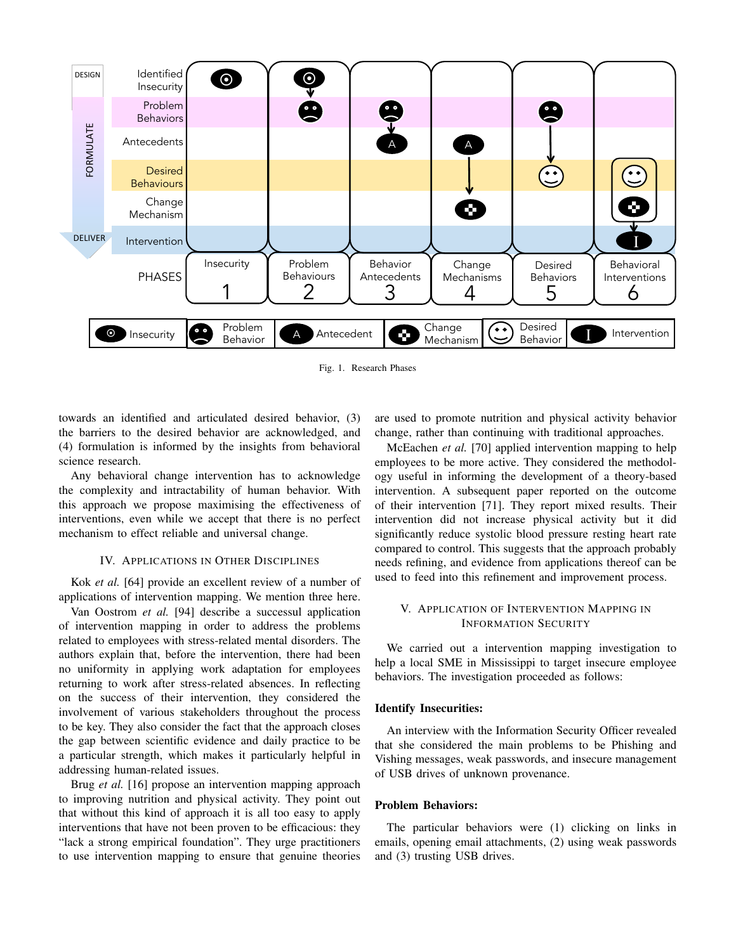

Fig. 1. Research Phases

towards an identified and articulated desired behavior, (3) the barriers to the desired behavior are acknowledged, and (4) formulation is informed by the insights from behavioral science research.

Any behavioral change intervention has to acknowledge the complexity and intractability of human behavior. With this approach we propose maximising the effectiveness of interventions, even while we accept that there is no perfect mechanism to effect reliable and universal change.

### IV. APPLICATIONS IN OTHER DISCIPLINES

Kok *et al.* [64] provide an excellent review of a number of applications of intervention mapping. We mention three here.

Van Oostrom *et al.* [94] describe a successul application of intervention mapping in order to address the problems related to employees with stress-related mental disorders. The authors explain that, before the intervention, there had been no uniformity in applying work adaptation for employees returning to work after stress-related absences. In reflecting on the success of their intervention, they considered the involvement of various stakeholders throughout the process to be key. They also consider the fact that the approach closes the gap between scientific evidence and daily practice to be a particular strength, which makes it particularly helpful in addressing human-related issues.

Brug *et al.* [16] propose an intervention mapping approach to improving nutrition and physical activity. They point out that without this kind of approach it is all too easy to apply interventions that have not been proven to be efficacious: they "lack a strong empirical foundation". They urge practitioners to use intervention mapping to ensure that genuine theories

are used to promote nutrition and physical activity behavior change, rather than continuing with traditional approaches.

McEachen *et al.* [70] applied intervention mapping to help employees to be more active. They considered the methodology useful in informing the development of a theory-based intervention. A subsequent paper reported on the outcome of their intervention [71]. They report mixed results. Their intervention did not increase physical activity but it did significantly reduce systolic blood pressure resting heart rate compared to control. This suggests that the approach probably needs refining, and evidence from applications thereof can be used to feed into this refinement and improvement process.

# V. APPLICATION OF INTERVENTION MAPPING IN INFORMATION SECURITY

We carried out a intervention mapping investigation to help a local SME in Mississippi to target insecure employee behaviors. The investigation proceeded as follows:

## Identify Insecurities:

An interview with the Information Security Officer revealed that she considered the main problems to be Phishing and Vishing messages, weak passwords, and insecure management of USB drives of unknown provenance.

# Problem Behaviors:

The particular behaviors were (1) clicking on links in emails, opening email attachments, (2) using weak passwords and (3) trusting USB drives.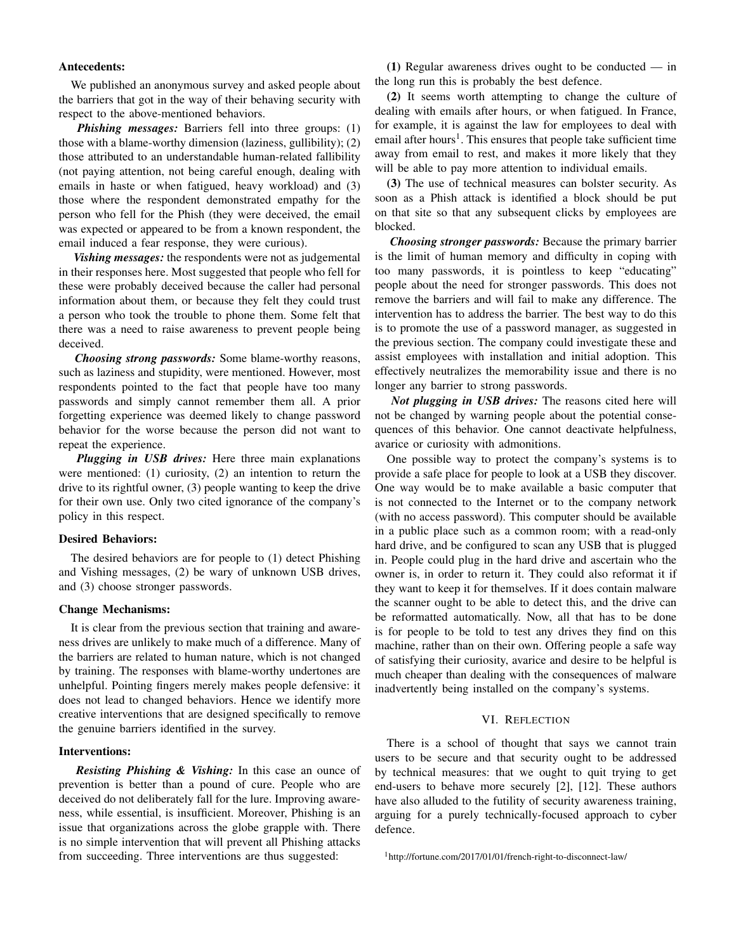## Antecedents:

We published an anonymous survey and asked people about the barriers that got in the way of their behaving security with respect to the above-mentioned behaviors.

*Phishing messages:* Barriers fell into three groups: (1) those with a blame-worthy dimension (laziness, gullibility); (2) those attributed to an understandable human-related fallibility (not paying attention, not being careful enough, dealing with emails in haste or when fatigued, heavy workload) and (3) those where the respondent demonstrated empathy for the person who fell for the Phish (they were deceived, the email was expected or appeared to be from a known respondent, the email induced a fear response, they were curious).

*Vishing messages:* the respondents were not as judgemental in their responses here. Most suggested that people who fell for these were probably deceived because the caller had personal information about them, or because they felt they could trust a person who took the trouble to phone them. Some felt that there was a need to raise awareness to prevent people being deceived.

*Choosing strong passwords:* Some blame-worthy reasons, such as laziness and stupidity, were mentioned. However, most respondents pointed to the fact that people have too many passwords and simply cannot remember them all. A prior forgetting experience was deemed likely to change password behavior for the worse because the person did not want to repeat the experience.

*Plugging in USB drives:* Here three main explanations were mentioned: (1) curiosity, (2) an intention to return the drive to its rightful owner, (3) people wanting to keep the drive for their own use. Only two cited ignorance of the company's policy in this respect.

## Desired Behaviors:

The desired behaviors are for people to (1) detect Phishing and Vishing messages, (2) be wary of unknown USB drives, and (3) choose stronger passwords.

## Change Mechanisms:

It is clear from the previous section that training and awareness drives are unlikely to make much of a difference. Many of the barriers are related to human nature, which is not changed by training. The responses with blame-worthy undertones are unhelpful. Pointing fingers merely makes people defensive: it does not lead to changed behaviors. Hence we identify more creative interventions that are designed specifically to remove the genuine barriers identified in the survey.

## Interventions:

*Resisting Phishing & Vishing:* In this case an ounce of prevention is better than a pound of cure. People who are deceived do not deliberately fall for the lure. Improving awareness, while essential, is insufficient. Moreover, Phishing is an issue that organizations across the globe grapple with. There is no simple intervention that will prevent all Phishing attacks from succeeding. Three interventions are thus suggested:

(1) Regular awareness drives ought to be conducted — in the long run this is probably the best defence.

(2) It seems worth attempting to change the culture of dealing with emails after hours, or when fatigued. In France, for example, it is against the law for employees to deal with email after hours<sup>1</sup>. This ensures that people take sufficient time away from email to rest, and makes it more likely that they will be able to pay more attention to individual emails.

(3) The use of technical measures can bolster security. As soon as a Phish attack is identified a block should be put on that site so that any subsequent clicks by employees are blocked.

*Choosing stronger passwords:* Because the primary barrier is the limit of human memory and difficulty in coping with too many passwords, it is pointless to keep "educating" people about the need for stronger passwords. This does not remove the barriers and will fail to make any difference. The intervention has to address the barrier. The best way to do this is to promote the use of a password manager, as suggested in the previous section. The company could investigate these and assist employees with installation and initial adoption. This effectively neutralizes the memorability issue and there is no longer any barrier to strong passwords.

*Not plugging in USB drives:* The reasons cited here will not be changed by warning people about the potential consequences of this behavior. One cannot deactivate helpfulness, avarice or curiosity with admonitions.

One possible way to protect the company's systems is to provide a safe place for people to look at a USB they discover. One way would be to make available a basic computer that is not connected to the Internet or to the company network (with no access password). This computer should be available in a public place such as a common room; with a read-only hard drive, and be configured to scan any USB that is plugged in. People could plug in the hard drive and ascertain who the owner is, in order to return it. They could also reformat it if they want to keep it for themselves. If it does contain malware the scanner ought to be able to detect this, and the drive can be reformatted automatically. Now, all that has to be done is for people to be told to test any drives they find on this machine, rather than on their own. Offering people a safe way of satisfying their curiosity, avarice and desire to be helpful is much cheaper than dealing with the consequences of malware inadvertently being installed on the company's systems.

#### VI. REFLECTION

There is a school of thought that says we cannot train users to be secure and that security ought to be addressed by technical measures: that we ought to quit trying to get end-users to behave more securely [2], [12]. These authors have also alluded to the futility of security awareness training, arguing for a purely technically-focused approach to cyber defence.

<sup>1</sup>http://fortune.com/2017/01/01/french-right-to-disconnect-law/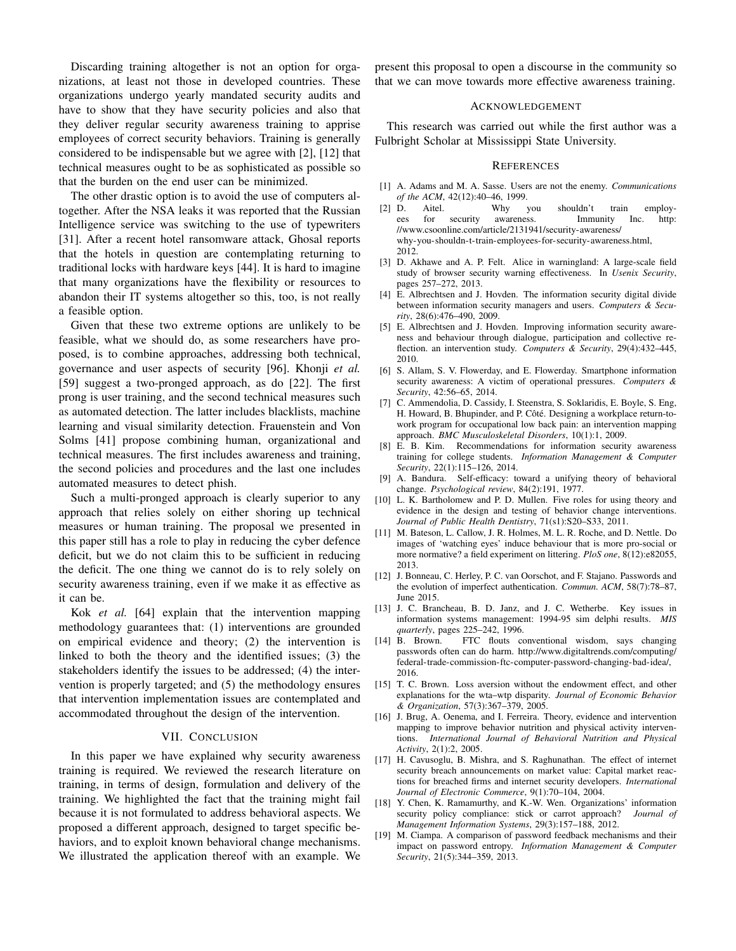Discarding training altogether is not an option for organizations, at least not those in developed countries. These organizations undergo yearly mandated security audits and have to show that they have security policies and also that they deliver regular security awareness training to apprise employees of correct security behaviors. Training is generally considered to be indispensable but we agree with [2], [12] that technical measures ought to be as sophisticated as possible so that the burden on the end user can be minimized.

The other drastic option is to avoid the use of computers altogether. After the NSA leaks it was reported that the Russian Intelligence service was switching to the use of typewriters [31]. After a recent hotel ransomware attack, Ghosal reports that the hotels in question are contemplating returning to traditional locks with hardware keys [44]. It is hard to imagine that many organizations have the flexibility or resources to abandon their IT systems altogether so this, too, is not really a feasible option.

Given that these two extreme options are unlikely to be feasible, what we should do, as some researchers have proposed, is to combine approaches, addressing both technical, governance and user aspects of security [96]. Khonji *et al.* [59] suggest a two-pronged approach, as do [22]. The first prong is user training, and the second technical measures such as automated detection. The latter includes blacklists, machine learning and visual similarity detection. Frauenstein and Von Solms [41] propose combining human, organizational and technical measures. The first includes awareness and training, the second policies and procedures and the last one includes automated measures to detect phish.

Such a multi-pronged approach is clearly superior to any approach that relies solely on either shoring up technical measures or human training. The proposal we presented in this paper still has a role to play in reducing the cyber defence deficit, but we do not claim this to be sufficient in reducing the deficit. The one thing we cannot do is to rely solely on security awareness training, even if we make it as effective as it can be.

Kok *et al.* [64] explain that the intervention mapping methodology guarantees that: (1) interventions are grounded on empirical evidence and theory; (2) the intervention is linked to both the theory and the identified issues; (3) the stakeholders identify the issues to be addressed; (4) the intervention is properly targeted; and (5) the methodology ensures that intervention implementation issues are contemplated and accommodated throughout the design of the intervention.

#### VII. CONCLUSION

In this paper we have explained why security awareness training is required. We reviewed the research literature on training, in terms of design, formulation and delivery of the training. We highlighted the fact that the training might fail because it is not formulated to address behavioral aspects. We proposed a different approach, designed to target specific behaviors, and to exploit known behavioral change mechanisms. We illustrated the application thereof with an example. We

present this proposal to open a discourse in the community so that we can move towards more effective awareness training.

#### ACKNOWLEDGEMENT

This research was carried out while the first author was a Fulbright Scholar at Mississippi State University.

#### **REFERENCES**

- [1] A. Adams and M. A. Sasse. Users are not the enemy. *Communications of the ACM*, 42(12):40–46, 1999.
- [2] D. Aitel. Why you shouldn't train employees for security awareness. Immunity Inc. http: //www.csoonline.com/article/2131941/security-awareness/ why-you-shouldn-t-train-employees-for-security-awareness.html, 2012.
- [3] D. Akhawe and A. P. Felt. Alice in warningland: A large-scale field study of browser security warning effectiveness. In *Usenix Security*, pages 257–272, 2013.
- [4] E. Albrechtsen and J. Hovden. The information security digital divide between information security managers and users. *Computers & Security*, 28(6):476–490, 2009.
- [5] E. Albrechtsen and J. Hovden. Improving information security awareness and behaviour through dialogue, participation and collective reflection. an intervention study. *Computers & Security*, 29(4):432–445, 2010.
- [6] S. Allam, S. V. Flowerday, and E. Flowerday. Smartphone information security awareness: A victim of operational pressures. *Computers & Security*, 42:56–65, 2014.
- [7] C. Ammendolia, D. Cassidy, I. Steenstra, S. Soklaridis, E. Boyle, S. Eng, H. Howard, B. Bhupinder, and P. Côté. Designing a workplace return-towork program for occupational low back pain: an intervention mapping approach. *BMC Musculoskeletal Disorders*, 10(1):1, 2009.
- [8] E. B. Kim. Recommendations for information security awareness training for college students. *Information Management & Computer Security*, 22(1):115–126, 2014.
- [9] A. Bandura. Self-efficacy: toward a unifying theory of behavioral change. *Psychological review*, 84(2):191, 1977.
- [10] L. K. Bartholomew and P. D. Mullen. Five roles for using theory and evidence in the design and testing of behavior change interventions. *Journal of Public Health Dentistry*, 71(s1):S20–S33, 2011.
- [11] M. Bateson, L. Callow, J. R. Holmes, M. L. R. Roche, and D. Nettle. Do images of 'watching eyes' induce behaviour that is more pro-social or more normative? a field experiment on littering. *PloS one*, 8(12):e82055, 2013.
- [12] J. Bonneau, C. Herley, P. C. van Oorschot, and F. Stajano. Passwords and the evolution of imperfect authentication. *Commun. ACM*, 58(7):78–87, June 2015.
- [13] J. C. Brancheau, B. D. Janz, and J. C. Wetherbe. Key issues in information systems management: 1994-95 sim delphi results. *MIS quarterly*, pages 225–242, 1996.
- [14] B. Brown. FTC flouts conventional wisdom, says changing passwords often can do harm. http://www.digitaltrends.com/computing/ federal-trade-commission-ftc-computer-password-changing-bad-idea/, 2016.
- [15] T. C. Brown. Loss aversion without the endowment effect, and other explanations for the wta–wtp disparity. *Journal of Economic Behavior & Organization*, 57(3):367–379, 2005.
- [16] J. Brug, A. Oenema, and I. Ferreira. Theory, evidence and intervention mapping to improve behavior nutrition and physical activity interventions. *International Journal of Behavioral Nutrition and Physical Activity*, 2(1):2, 2005.
- [17] H. Cavusoglu, B. Mishra, and S. Raghunathan. The effect of internet security breach announcements on market value: Capital market reactions for breached firms and internet security developers. *International Journal of Electronic Commerce*, 9(1):70–104, 2004.
- [18] Y. Chen, K. Ramamurthy, and K.-W. Wen. Organizations' information security policy compliance: stick or carrot approach? *Journal of Management Information Systems*, 29(3):157–188, 2012.
- [19] M. Ciampa. A comparison of password feedback mechanisms and their impact on password entropy. *Information Management & Computer Security*, 21(5):344–359, 2013.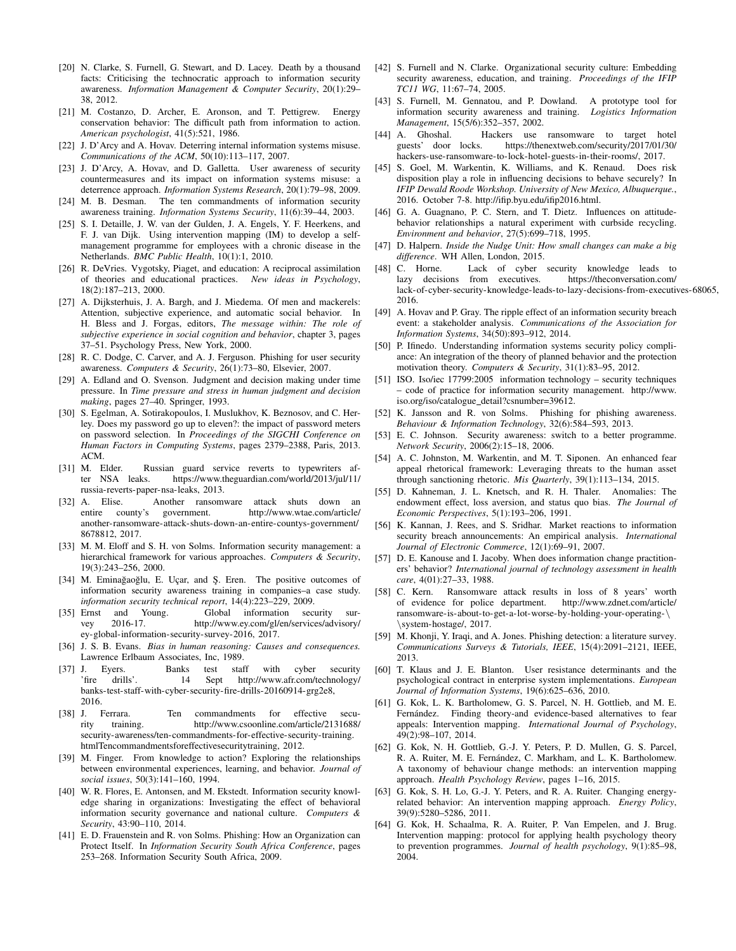- [20] N. Clarke, S. Furnell, G. Stewart, and D. Lacey. Death by a thousand facts: Criticising the technocratic approach to information security awareness. *Information Management & Computer Security*, 20(1):29– 38, 2012.
- [21] M. Costanzo, D. Archer, E. Aronson, and T. Pettigrew. Energy conservation behavior: The difficult path from information to action. *American psychologist*, 41(5):521, 1986.
- [22] J. D'Arcy and A. Hovav. Deterring internal information systems misuse. *Communications of the ACM*, 50(10):113–117, 2007.
- [23] J. D'Arcy, A. Hovav, and D. Galletta. User awareness of security countermeasures and its impact on information systems misuse: a deterrence approach. *Information Systems Research*, 20(1):79–98, 2009.
- [24] M. B. Desman. The ten commandments of information security awareness training. *Information Systems Security*, 11(6):39–44, 2003.
- [25] S. I. Detaille, J. W. van der Gulden, J. A. Engels, Y. F. Heerkens, and F. J. van Dijk. Using intervention mapping (IM) to develop a selfmanagement programme for employees with a chronic disease in the Netherlands. *BMC Public Health*, 10(1):1, 2010.
- [26] R. DeVries. Vygotsky, Piaget, and education: A reciprocal assimilation of theories and educational practices. *New ideas in Psychology*, 18(2):187–213, 2000.
- [27] A. Dijksterhuis, J. A. Bargh, and J. Miedema. Of men and mackerels: Attention, subjective experience, and automatic social behavior. In H. Bless and J. Forgas, editors, *The message within: The role of subjective experience in social cognition and behavior*, chapter 3, pages 37–51. Psychology Press, New York, 2000.
- [28] R. C. Dodge, C. Carver, and A. J. Ferguson. Phishing for user security awareness. *Computers & Security*, 26(1):73–80, Elsevier, 2007.
- [29] A. Edland and O. Svenson. Judgment and decision making under time pressure. In *Time pressure and stress in human judgment and decision making*, pages 27–40. Springer, 1993.
- [30] S. Egelman, A. Sotirakopoulos, I. Muslukhov, K. Beznosov, and C. Herley. Does my password go up to eleven?: the impact of password meters on password selection. In *Proceedings of the SIGCHI Conference on Human Factors in Computing Systems*, pages 2379–2388, Paris, 2013. ACM.
- [31] M. Elder. Russian guard service reverts to typewriters after NSA leaks. https://www.theguardian.com/world/2013/jul/11/ russia-reverts-paper-nsa-leaks, 2013.
- [32] A. Elise. Another ransomware attack shuts down an entire county's government. http://www.wtae.com/article/ another-ransomware-attack-shuts-down-an-entire-countys-government/ 8678812, 2017.
- [33] M. M. Eloff and S. H. von Solms. Information security management: a hierarchical framework for various approaches. *Computers & Security*, 19(3):243–256, 2000.
- [34] M. Eminağaoğlu, E. Uçar, and Ş. Eren. The positive outcomes of information security awareness training in companies–a case study. *information security technical report*, 14(4):223–229, 2009.
- [35] Ernst and Young. Global information security survey 2016-17. http://www.ey.com/gl/en/services/advisory/ ey-global-information-security-survey-2016, 2017.
- [36] J. S. B. Evans. *Bias in human reasoning: Causes and consequences.* Lawrence Erlbaum Associates, Inc, 1989.
- [37] J. Eyers. Banks test staff with cyber security 'fire drills'. 14 Sept http://www.afr.com/technology/ banks-test-staff-with-cyber-security-fire-drills-20160914-grg2e8, 2016.
- [38] J. Ferrara. Ten commandments for effective security training. http://www.csoonline.com/article/2131688/ security-awareness/ten-commandments-for-effective-security-training. htmlTencommandmentsforeffectivesecuritytraining, 2012.
- [39] M. Finger. From knowledge to action? Exploring the relationships between environmental experiences, learning, and behavior. *Journal of social issues*, 50(3):141–160, 1994.
- [40] W. R. Flores, E. Antonsen, and M. Ekstedt. Information security knowledge sharing in organizations: Investigating the effect of behavioral information security governance and national culture. *Computers & Security*, 43:90–110, 2014.
- [41] E. D. Frauenstein and R. von Solms. Phishing: How an Organization can Protect Itself. In *Information Security South Africa Conference*, pages 253–268. Information Security South Africa, 2009.
- [42] S. Furnell and N. Clarke. Organizational security culture: Embedding security awareness, education, and training. *Proceedings of the IFIP TC11 WG*, 11:67–74, 2005.
- [43] S. Furnell, M. Gennatou, and P. Dowland. A prototype tool for information security awareness and training. *Logistics Information Management*, 15(5/6):352–357, 2002.
- [44] A. Ghoshal. Hackers use ransomware to target hotel guests' door locks. https://thenextweb.com/security/2017/01/30/ https://thenextweb.com/security/2017/01/30/ hackers-use-ransomware-to-lock-hotel-guests-in-their-rooms/, 2017.
- [45] S. Goel, M. Warkentin, K. Williams, and K. Renaud. Does risk disposition play a role in influencing decisions to behave securely? In *IFIP Dewald Roode Workshop. University of New Mexico, Albuquerque.*, 2016. October 7-8. http://ifip.byu.edu/ifip2016.html.
- [46] G. A. Guagnano, P. C. Stern, and T. Dietz. Influences on attitudebehavior relationships a natural experiment with curbside recycling. *Environment and behavior*, 27(5):699–718, 1995.
- [47] D. Halpern. *Inside the Nudge Unit: How small changes can make a big difference*. WH Allen, London, 2015.
- [48] C. Horne. Lack of cyber security knowledge leads to lazy decisions from executives. https://theconversation.com/ lack-of-cyber-security-knowledge-leads-to-lazy-decisions-from-executives-68065, 2016.
- [49] A. Hovav and P. Gray. The ripple effect of an information security breach event: a stakeholder analysis. *Communications of the Association for Information Systems*, 34(50):893–912, 2014.
- [50] P. Ifinedo. Understanding information systems security policy compliance: An integration of the theory of planned behavior and the protection motivation theory. *Computers & Security*, 31(1):83–95, 2012.
- [51] ISO. Iso/iec 17799:2005 information technology security techniques – code of practice for information security management. http://www. iso.org/iso/catalogue detail?csnumber=39612.
- [52] K. Jansson and R. von Solms. Phishing for phishing awareness. *Behaviour & Information Technology*, 32(6):584–593, 2013.
- [53] E. C. Johnson. Security awareness: switch to a better programme. *Network Security*, 2006(2):15–18, 2006.
- [54] A. C. Johnston, M. Warkentin, and M. T. Siponen. An enhanced fear appeal rhetorical framework: Leveraging threats to the human asset through sanctioning rhetoric. *Mis Quarterly*, 39(1):113–134, 2015.
- [55] D. Kahneman, J. L. Knetsch, and R. H. Thaler. Anomalies: The endowment effect, loss aversion, and status quo bias. *The Journal of Economic Perspectives*, 5(1):193–206, 1991.
- [56] K. Kannan, J. Rees, and S. Sridhar. Market reactions to information security breach announcements: An empirical analysis. *International Journal of Electronic Commerce*, 12(1):69–91, 2007.
- [57] D. E. Kanouse and I. Jacoby. When does information change practitioners' behavior? *International journal of technology assessment in health care*, 4(01):27–33, 1988.
- [58] C. Kern. Ransomware attack results in loss of 8 years' worth of evidence for police department. http://www.zdnet.com/article/ ransomware-is-about-to-get-a-lot-worse-by-holding-your-operating-\ \system-hostage/, 2017.
- [59] M. Khonji, Y. Iraqi, and A. Jones. Phishing detection: a literature survey. *Communications Surveys & Tutorials, IEEE*, 15(4):2091–2121, IEEE, 2013.
- [60] T. Klaus and J. E. Blanton. User resistance determinants and the psychological contract in enterprise system implementations. *European Journal of Information Systems*, 19(6):625–636, 2010.
- [61] G. Kok, L. K. Bartholomew, G. S. Parcel, N. H. Gottlieb, and M. E. Fernández. Finding theory-and evidence-based alternatives to fear appeals: Intervention mapping. *International Journal of Psychology*, 49(2):98–107, 2014.
- [62] G. Kok, N. H. Gottlieb, G.-J. Y. Peters, P. D. Mullen, G. S. Parcel, R. A. Ruiter, M. E. Fernández, C. Markham, and L. K. Bartholomew. A taxonomy of behaviour change methods: an intervention mapping approach. *Health Psychology Review*, pages 1–16, 2015.
- [63] G. Kok, S. H. Lo, G.-J. Y. Peters, and R. A. Ruiter. Changing energyrelated behavior: An intervention mapping approach. *Energy Policy*, 39(9):5280–5286, 2011.
- [64] G. Kok, H. Schaalma, R. A. Ruiter, P. Van Empelen, and J. Brug. Intervention mapping: protocol for applying health psychology theory to prevention programmes. *Journal of health psychology*, 9(1):85–98, 2004.